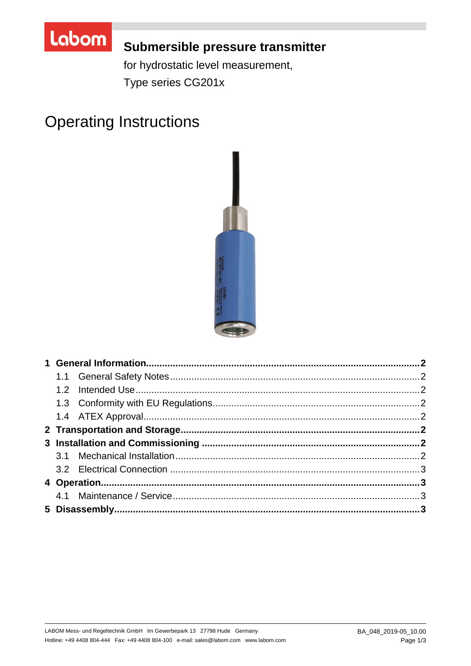

# Submersible pressure transmitter

for hydrostatic level measurement, Type series CG201x

# **Operating Instructions**

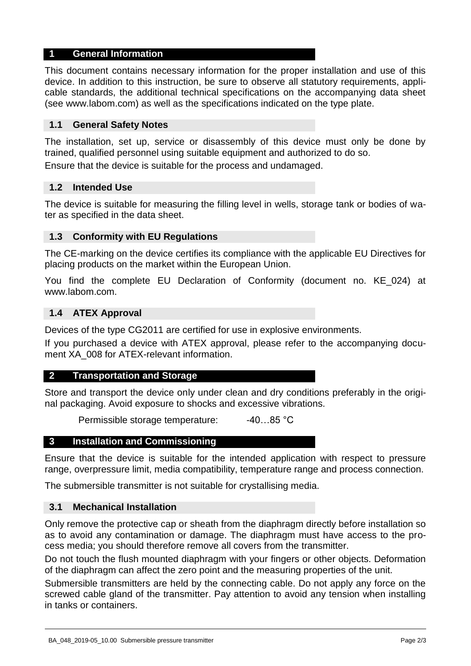# **1 General Information**

This document contains necessary information for the proper installation and use of this device. In addition to this instruction, be sure to observe all statutory requirements, applicable standards, the additional technical specifications on the accompanying data sheet (see www.labom.com) as well as the specifications indicated on the type plate.

## **1.1 General Safety Notes**

The installation, set up, service or disassembly of this device must only be done by trained, qualified personnel using suitable equipment and authorized to do so.

Ensure that the device is suitable for the process and undamaged.

#### **1.2 Intended Use**

The device is suitable for measuring the filling level in wells, storage tank or bodies of water as specified in the data sheet.

# **1.3 Conformity with EU Regulations**

The CE-marking on the device certifies its compliance with the applicable EU Directives for placing products on the market within the European Union.

You find the complete EU Declaration of Conformity (document no. KE\_024) at www.labom.com.

#### **1.4 ATEX Approval**

Devices of the type CG2011 are certified for use in explosive environments.

If you purchased a device with ATEX approval, please refer to the accompanying document XA 008 for ATEX-relevant information.

#### **2 Transportation and Storage**

Store and transport the device only under clean and dry conditions preferably in the original packaging. Avoid exposure to shocks and excessive vibrations.

Permissible storage temperature: -40...85 °C

#### **3 Installation and Commissioning**

Ensure that the device is suitable for the intended application with respect to pressure range, overpressure limit, media compatibility, temperature range and process connection.

The submersible transmitter is not suitable for crystallising media.

# **3.1 Mechanical Installation**

Only remove the protective cap or sheath from the diaphragm directly before installation so as to avoid any contamination or damage. The diaphragm must have access to the process media; you should therefore remove all covers from the transmitter.

Do not touch the flush mounted diaphragm with your fingers or other objects. Deformation of the diaphragm can affect the zero point and the measuring properties of the unit.

Submersible transmitters are held by the connecting cable. Do not apply any force on the screwed cable gland of the transmitter. Pay attention to avoid any tension when installing in tanks or containers.